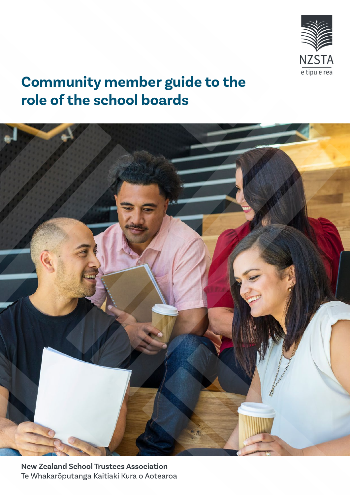

# **Community member guide to the role of the school boards**



**New Zealand School Trustees Association** Te Whakarōputanga Kaitiaki Kura o Aotearoa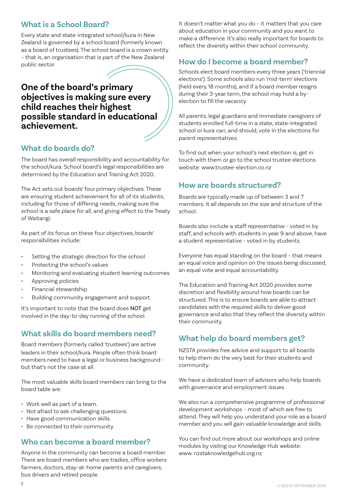### **What is a School Board?**

Every state and state-integrated school/kura in New Zealand is governed by a school board (formerly known as a board of trustees). The school board is a crown entity – that is, an organisation that is part of the New Zealand public sector.

## **One of the board's primary objectives is making sure every child reaches their highest possible standard in educational achievement.**

### **What do boards do?**

The board has overall responsibility and accountability for the school/kura. School board's legal responsibilities are determined by the Education and Training Act 2020.

The Act sets out boards' four primary objectives. These are ensuring student achievement for all of its students, including for those of differing needs, making sure the school is a safe place for all, and giving effect to the Treaty of Waitangi.

As part of its focus on these four objectives, boards' responsibilities include:

- Setting the strategic direction for the school
- Protecting the school's values
- Monitoring and evaluating student learning outcomes
- Approving policies
- Financial stewardship
- Building community engagement and support

It's important to note that the board does NOT get involved in the day-to-day running of the school.

### **What skills do board members need?**

Board members (formerly called 'trustees') are active leaders in their school/kura. People often think board members need to have a legal or business background but that's not the case at all.

The most valuable skills board members can bring to the board table are:

- Work well as part of a team.
- Not afraid to ask challenging questions.
- Have good communication skills.
- Be connected to their community.

### **Who can become a board member?**

Anyone in the community can become a board member. There are board members who are tradies, office workers farmers, doctors, stay-at-home parents and caregivers, bus drivers and retired people.

It doesn't matter what you do – it matters that you care about education in your community and you want to make a difference. It's also really important for boards to reflect the diversity within their school community.

### **How do I become a board member?**

Schools elect board members every three years ('triennial elections'). Some schools also run 'mid-term' elections (held every 18 months), and if a board member resigns during their 3-year term, the school may hold a byelection to fill the vacancy.

All parents, legal guardians and immediate caregivers of students enrolled full-time in a state, state-integrated school or kura can, and should, vote in the elections for parent representatives.

To find out when your school's next election is, get in touch with them or go to the school trustee elections website: www.trustee-election.co.nz

### **How are boards structured?**

Boards are typically made up of between 3 and 7 members. It all depends on the size and structure of the school.

Boards also include a staff representative - voted in by staff, and schools with students in year 9 and above, have a student representative - voted in by students.

Everyone has equal standing on the board – that means an equal voice and opinion on the issues being discussed, an equal vote and equal accountability.

The Education and Training Act 2020 provides some discretion and flexibility around how boards can be structured. This is to ensure boards are able to attract candidates with the required skills to deliver good governance and also that they reflect the diversity within their community.

### **What help do board members get?**

NZSTA provides free advice and support to all boards to help them do the very best for their students and community.

We have a dedicated team of advisors who help boards with governance and employment issues.

We also run a comprehensive programme of professional development workshops – most of which are free to attend. They will help you understand your role as a board member and you will gain valuable knowledge and skills.

You can find out more about our workshops and online modules by visitng our Knowledge Hub website: www. nzstaknowledgehub.org.nz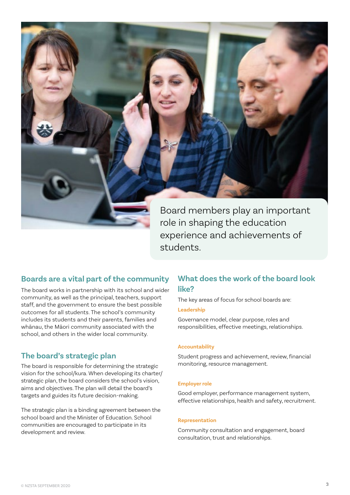

Board members play an important role in shaping the education experience and achievements of students.

### **Boards are a vital part of the community**

The board works in partnership with its school and wider community, as well as the principal, teachers, support staff, and the government to ensure the best possible outcomes for all students. The school's community includes its students and their parents, families and whānau, the Māori community associated with the school, and others in the wider local community.

### **The board's strategic plan**

The board is responsible for determining the strategic vision for the school/kura. When developing its charter/ strategic plan, the board considers the school's vision, aims and objectives. The plan will detail the board's targets and guides its future decision-making.

The strategic plan is a binding agreement between the school board and the Minister of Education. School communities are encouraged to participate in its development and review.

### **What does the work of the board look like?**

The key areas of focus for school boards are:

#### **Leadership**

Governance model, clear purpose, roles and responsibilities, effective meetings, relationships.

#### **Accountability**

Student progress and achievement, review, financial monitoring, resource management.

#### **Employer role**

Good employer, performance management system, effective relationships, health and safety, recruitment.

#### **Representation**

Community consultation and engagement, board consultation, trust and relationships.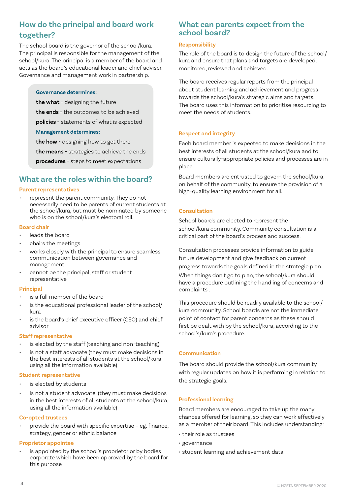### **How do the principal and board work together?**

The school board is the governor of the school/kura. The principal is responsible for the management of the school/kura. The principal is a member of the board and acts as the board's educational leader and chief adviser. Governance and management work in partnership.

#### **Governance determines:**

**the what -** designing the future

**the ends -** the outcomes to be achieved

**policies -** statements of what is expected

#### **Management determines:**

**the how -** designing how to get there

**the means -** strategies to achieve the ends

**procedures -** steps to meet expectations

### **What are the roles within the board?**

#### **Parent representatives**

• represent the parent community. They do not necessarily need to be parents of current students at the school/kura, but must be nominated by someone who is on the school/kura's electoral roll.

#### **Board chair**

- leads the board
- chairs the meetings
- works closely with the principal to ensure seamless communication between governance and management
- cannot be the principal, staff or student representative

#### **Principal**

- is a full member of the board
- is the educational professional leader of the school/ kura
- is the board's chief executive officer (CEO) and chief advisor

#### **Staff representative**

- is elected by the staff (teaching and non-teaching)
- is not a staff advocate (they must make decisions in the best interests of all students at the school/kura using all the information available)

#### **Student representative**

- is elected by students
- is not a student advocate, (they must make decisions in the best interests of all students at the school/kura, using all the information available)

#### **Co-opted trustees**

• provide the board with specific expertise – eg. finance, strategy, gender or ethnic balance

#### **Proprietor appointee**

is appointed by the school's proprietor or by bodies corporate which have been approved by the board for this purpose

### **What can parents expect from the school board?**

#### **Responsibility**

The role of the board is to design the future of the school/ kura and ensure that plans and targets are developed, monitored, reviewed and achieved.

The board receives regular reports from the principal about student learning and achievement and progress towards the school/kura's strategic aims and targets. The board uses this information to prioritise resourcing to meet the needs of students.

### **Respect and integrity**

Each board member is expected to make decisions in the best interests of all students at the school/kura and to ensure culturally-appropriate policies and processes are in place.

Board members are entrusted to govern the school/kura, on behalf of the community, to ensure the provision of a high-quality learning environment for all.

### **Consultation**

School boards are elected to represent the school/kura community. Community consultation is a critical part of the board's process and success.

Consultation processes provide information to guide future development and give feedback on current progress towards the goals defined in the strategic plan.

When things don't go to plan, the school/kura should have a procedure outlining the handling of concerns and complaints .

This procedure should be readily available to the school/ kura community. School boards are not the immediate point of contact for parent concerns as these should first be dealt with by the school/kura, according to the school's/kura's procedure.

### **Communication**

The board should provide the school/kura community with regular updates on how it is performing in relation to the strategic goals.

#### **Professional learning**

Board members are encouraged to take up the many chances offered for learning, so they can work effectively as a member of their board. This includes understanding:

- their role as trustees
- governance
- student learning and achievement data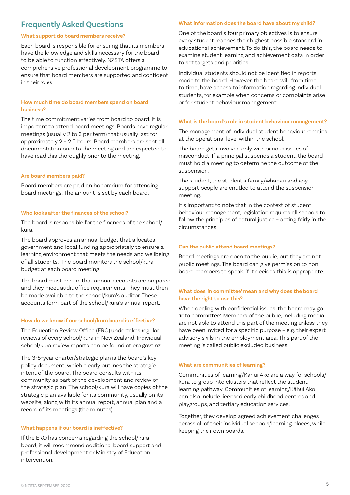### **Frequently Asked Questions**

#### **What support do board members receive?**

Each board is responsible for ensuring that its members have the knowledge and skills necessary for the board to be able to function effectively. NZSTA offers a comprehensive professional development programme to ensure that board members are supported and confident in their roles.

#### **How much time do board members spend on board business?**

The time commitment varies from board to board. It is important to attend board meetings. Boards have regular meetings (usually 2 to 3 per term) that usually last for approximately 2 – 2.5 hours. Board members are sent all documentation prior to the meeting and are expected to have read this thoroughly prior to the meeting.

#### **Are board members paid?**

Board members are paid an honorarium for attending board meetings. The amount is set by each board.

#### **Who looks after the finances of the school?**

The board is responsible for the finances of the school/ kura.

The board approves an annual budget that allocates government and local funding appropriately to ensure a learning environment that meets the needs and wellbeing of all students. The board monitors the school/kura budget at each board meeting.

The board must ensure that annual accounts are prepared and they meet audit office requirements. They must then be made available to the school/kura's auditor. These accounts form part of the school/kura's annual report.

#### **How do we know if our school/kura board is effective?**

The Education Review Office (ERO) undertakes regular reviews of every school/kura in New Zealand. Individual school/kura review reports can be found at ero.govt.nz.

The 3-5-year charter/strategic plan is the board's key policy document, which clearly outlines the strategic intent of the board. The board consults with its community as part of the development and review of the strategic plan. The school/kura will have copies of the strategic plan available for its community, usually on its website, along with its annual report, annual plan and a record of its meetings (the minutes).

#### **What happens if our board is ineffective?**

If the ERO has concerns regarding the school/kura board, it will recommend additional board support and professional development or Ministry of Education intervention.

#### **What information does the board have about my child?**

One of the board's four primary objectives is to ensure every student reaches their highest possible standard in educational achievement. To do this, the board needs to examine student learning and achievement data in order to set targets and priorities.

Individual students should not be identified in reports made to the board. However, the board will, from time to time, have access to information regarding individual students, for example when concerns or complaints arise or for student behaviour management.

#### **What is the board's role in student behaviour management?**

The management of individual student behaviour remains at the operational level within the school.

The board gets involved only with serious issues of misconduct. If a principal suspends a student, the board must hold a meeting to determine the outcome of the suspension.

The student, the student's family/whānau and any support people are entitled to attend the suspension meeting.

It's important to note that in the context of student behaviour management, legislation requires all schools to follow the principles of natural justice – acting fairly in the circumstances.

#### **Can the public attend board meetings?**

Board meetings are open to the public, but they are not public meetings. The board can give permission to nonboard members to speak, if it decides this is appropriate.

#### **What does 'in committee' mean and why does the board have the right to use this?**

When dealing with confidential issues, the board may go 'into committee'. Members of the public, including media, are not able to attend this part of the meeting unless they have been invited for a specific purpose – e.g. their expert advisory skills in the employment area. This part of the meeting is called public excluded business.

#### **What are communities of learning?**

Communities of learning/Kāhui Ako are a way for schools/ kura to group into clusters that reflect the student learning pathway. Communities of learning/Kāhui Ako can also include licensed early childhood centres and playgroups, and tertiary education services.

Together, they develop agreed achievement challenges across all of their individual schools/learning places, while keeping their own boards.